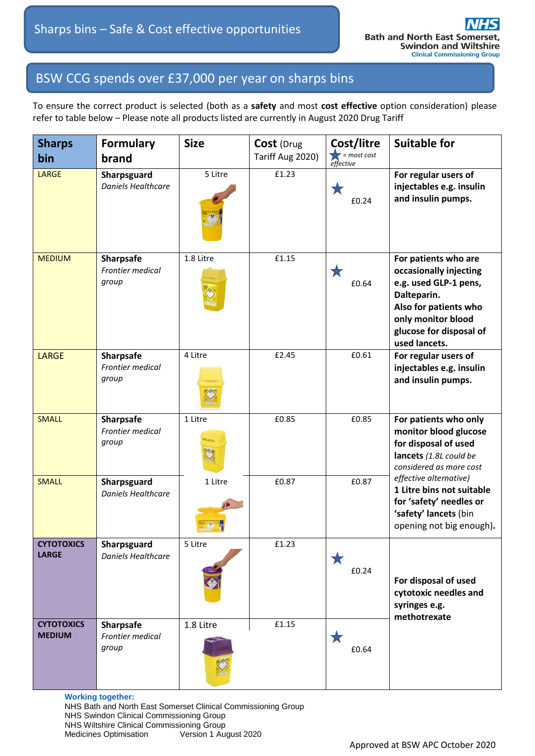## BSW CCG spends over £37,000 per year on sharps bins

To ensure the correct product is selected (both as a **safety** and most **cost effective** option consideration) please refer to table below – Please note all products listed are currently in August 2020 Drug Tariff

| <b>Sharps</b>                      | <b>Formulary</b>                                     | <b>Size</b> | Cost (Drug       | Cost/litre                 | <b>Suitable for</b>                                                                                                                                                               |
|------------------------------------|------------------------------------------------------|-------------|------------------|----------------------------|-----------------------------------------------------------------------------------------------------------------------------------------------------------------------------------|
| bin                                | brand                                                |             | Tariff Aug 2020) | $=$ most cost<br>effective |                                                                                                                                                                                   |
| <b>LARGE</b>                       | Sharpsguard<br><b>Daniels Healthcare</b>             | 5 Litre     | £1.23            | ★<br>£0.24                 | For regular users of<br>injectables e.g. insulin<br>and insulin pumps.                                                                                                            |
| <b>MEDIUM</b>                      | <b>Sharpsafe</b><br><b>Frontier medical</b><br>group | 1.8 Litre   | £1.15            | 大<br>£0.64                 | For patients who are<br>occasionally injecting<br>e.g. used GLP-1 pens,<br>Dalteparin.<br>Also for patients who<br>only monitor blood<br>glucose for disposal of<br>used lancets. |
| <b>LARGE</b>                       | <b>Sharpsafe</b><br><b>Frontier medical</b><br>group | 4 Litre     | £2.45            | £0.61                      | For regular users of<br>injectables e.g. insulin<br>and insulin pumps.                                                                                                            |
| <b>SMALL</b>                       | <b>Sharpsafe</b><br><b>Frontier medical</b><br>group | 1 Litre     | £0.85            | £0.85                      | For patients who only<br>monitor blood glucose<br>for disposal of used<br>lancets (1.8L could be<br>considered as more cost                                                       |
| <b>SMALL</b>                       | Sharpsguard<br><b>Daniels Healthcare</b>             | 1 Litre     | £0.87            | £0.87                      | effective alternative)<br>1 Litre bins not suitable<br>for 'safety' needles or<br>'safety' lancets (bin<br>opening not big enough).                                               |
| <b>CYTOTOXICS</b><br><b>LARGE</b>  | Sharpsguard<br>Daniels Healthcare                    | 5 Litre     | £1.23            | 大<br>£0.24                 | For disposal of used<br>cytotoxic needles and<br>syringes e.g.<br>methotrexate                                                                                                    |
| <b>CYTOTOXICS</b><br><b>MEDIUM</b> | <b>Sharpsafe</b><br>Frontier medical<br>group        | 1.8 Litre   | £1.15            | ★<br>£0.64                 |                                                                                                                                                                                   |

**Working together:**  NHS Bath and North East Somerset Clinical Commissioning Group NHS Swindon Clinical Commissioning Group NHS Wiltshire Clinical Commissioning Group Medicines Optimisation Version 1 August 2020